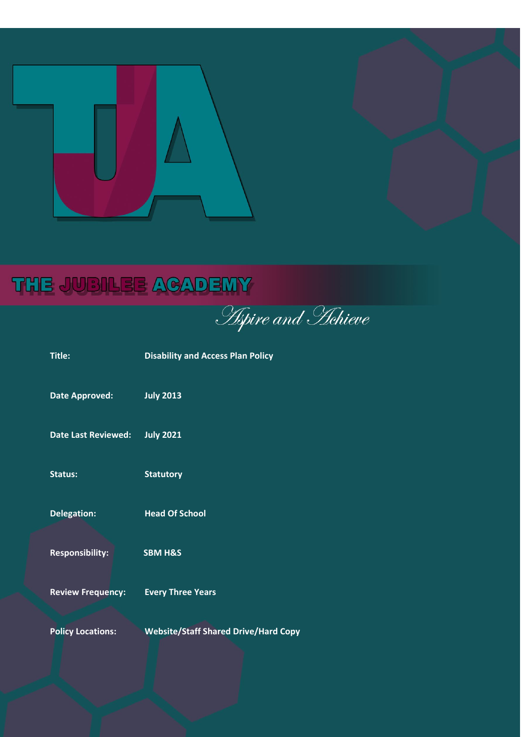

# THE JUBILEE ACADEMY

**Aspire and Hehieve** 

| <b>Title:</b>              | <b>Disability and Access Plan Policy</b>    |
|----------------------------|---------------------------------------------|
| <b>Date Approved:</b>      | <b>July 2013</b>                            |
| <b>Date Last Reviewed:</b> | <b>July 2021</b>                            |
| Status:                    | <b>Statutory</b>                            |
| <b>Delegation:</b>         | <b>Head Of School</b>                       |
| <b>Responsibility:</b>     | <b>SBM H&amp;S</b>                          |
| <b>Review Frequency:</b>   | <b>Every Three Years</b>                    |
| <b>Policy Locations:</b>   | <b>Website/Staff Shared Drive/Hard Copy</b> |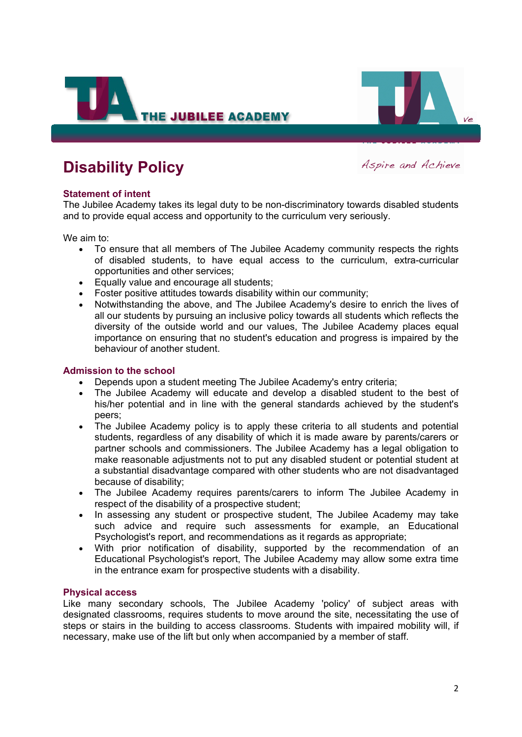



# **Disability Policy**

Aspire and Achieve

# **Statement of intent**

The Jubilee Academy takes its legal duty to be non-discriminatory towards disabled students and to provide equal access and opportunity to the curriculum very seriously.

We aim to:

- To ensure that all members of The Jubilee Academy community respects the rights of disabled students, to have equal access to the curriculum, extra-curricular opportunities and other services;
- Equally value and encourage all students;
- Foster positive attitudes towards disability within our community;
- Notwithstanding the above, and The Jubilee Academy's desire to enrich the lives of all our students by pursuing an inclusive policy towards all students which reflects the diversity of the outside world and our values, The Jubilee Academy places equal importance on ensuring that no student's education and progress is impaired by the behaviour of another student.

#### **Admission to the school**

- Depends upon a student meeting The Jubilee Academy's entry criteria;
- The Jubilee Academy will educate and develop a disabled student to the best of his/her potential and in line with the general standards achieved by the student's peers;
- The Jubilee Academy policy is to apply these criteria to all students and potential students, regardless of any disability of which it is made aware by parents/carers or partner schools and commissioners. The Jubilee Academy has a legal obligation to make reasonable adjustments not to put any disabled student or potential student at a substantial disadvantage compared with other students who are not disadvantaged because of disability;
- The Jubilee Academy requires parents/carers to inform The Jubilee Academy in respect of the disability of a prospective student;
- In assessing any student or prospective student, The Jubilee Academy may take such advice and require such assessments for example, an Educational Psychologist's report, and recommendations as it regards as appropriate;
- With prior notification of disability, supported by the recommendation of an Educational Psychologist's report, The Jubilee Academy may allow some extra time in the entrance exam for prospective students with a disability.

### **Physical access**

Like many secondary schools, The Jubilee Academy 'policy' of subject areas with designated classrooms, requires students to move around the site, necessitating the use of steps or stairs in the building to access classrooms. Students with impaired mobility will, if necessary, make use of the lift but only when accompanied by a member of staff.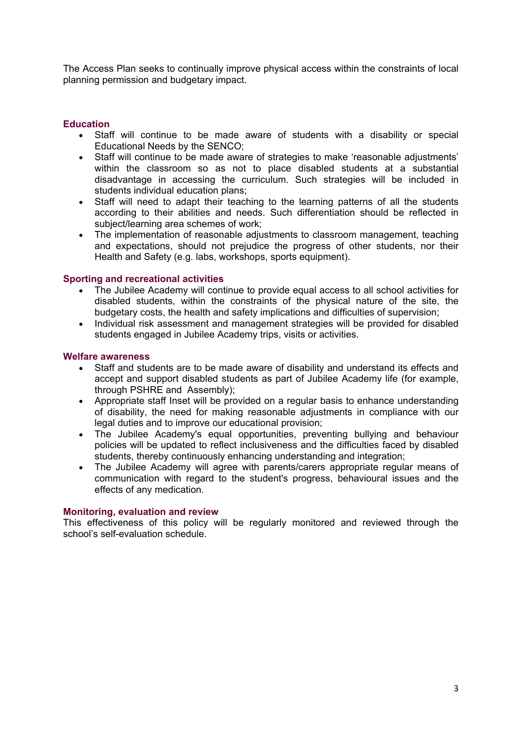The Access Plan seeks to continually improve physical access within the constraints of local planning permission and budgetary impact.

# **Education**

- Staff will continue to be made aware of students with a disability or special Educational Needs by the SENCO;
- Staff will continue to be made aware of strategies to make 'reasonable adjustments' within the classroom so as not to place disabled students at a substantial disadvantage in accessing the curriculum. Such strategies will be included in students individual education plans;
- Staff will need to adapt their teaching to the learning patterns of all the students according to their abilities and needs. Such differentiation should be reflected in subject/learning area schemes of work;
- The implementation of reasonable adjustments to classroom management, teaching and expectations, should not prejudice the progress of other students, nor their Health and Safety (e.g. labs, workshops, sports equipment).

#### **Sporting and recreational activities**

- The Jubilee Academy will continue to provide equal access to all school activities for disabled students, within the constraints of the physical nature of the site, the budgetary costs, the health and safety implications and difficulties of supervision;
- Individual risk assessment and management strategies will be provided for disabled students engaged in Jubilee Academy trips, visits or activities.

#### **Welfare awareness**

- Staff and students are to be made aware of disability and understand its effects and accept and support disabled students as part of Jubilee Academy life (for example, through PSHRE and Assembly);
- Appropriate staff Inset will be provided on a regular basis to enhance understanding of disability, the need for making reasonable adjustments in compliance with our legal duties and to improve our educational provision;
- The Jubilee Academy's equal opportunities, preventing bullying and behaviour policies will be updated to reflect inclusiveness and the difficulties faced by disabled students, thereby continuously enhancing understanding and integration;
- The Jubilee Academy will agree with parents/carers appropriate regular means of communication with regard to the student's progress, behavioural issues and the effects of any medication.

#### **Monitoring, evaluation and review**

This effectiveness of this policy will be regularly monitored and reviewed through the school's self-evaluation schedule.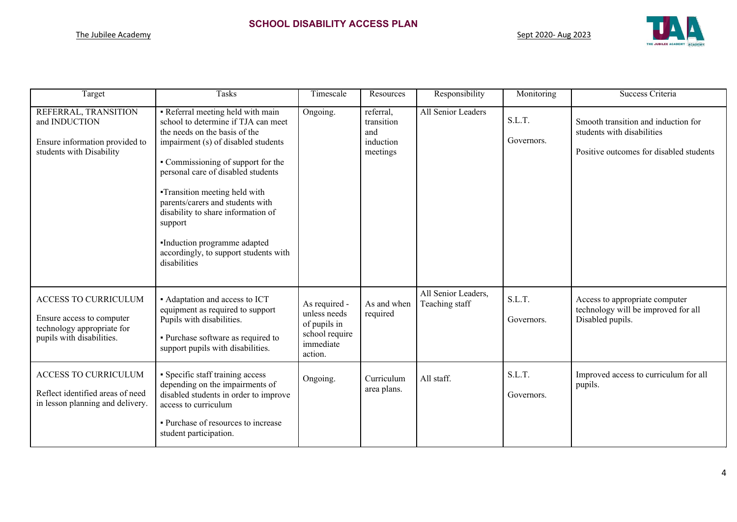

| Target                                                                                                              | <b>Tasks</b>                                                                                                                                                                                                                                                                                                                                                                                                                                      | Timescale                                                                               | Resources                                               | Responsibility                        | Monitoring           | Success Criteria                                                                                             |
|---------------------------------------------------------------------------------------------------------------------|---------------------------------------------------------------------------------------------------------------------------------------------------------------------------------------------------------------------------------------------------------------------------------------------------------------------------------------------------------------------------------------------------------------------------------------------------|-----------------------------------------------------------------------------------------|---------------------------------------------------------|---------------------------------------|----------------------|--------------------------------------------------------------------------------------------------------------|
| REFERRAL, TRANSITION<br>and INDUCTION<br>Ensure information provided to<br>students with Disability                 | • Referral meeting held with main<br>school to determine if TJA can meet<br>the needs on the basis of the<br>impairment (s) of disabled students<br>• Commissioning of support for the<br>personal care of disabled students<br><b>-Transition meeting held with</b><br>parents/carers and students with<br>disability to share information of<br>support<br>Induction programme adapted<br>accordingly, to support students with<br>disabilities | Ongoing.                                                                                | referral,<br>transition<br>and<br>induction<br>meetings | All Senior Leaders                    | S.L.T.<br>Governors. | Smooth transition and induction for<br>students with disabilities<br>Positive outcomes for disabled students |
| <b>ACCESS TO CURRICULUM</b><br>Ensure access to computer<br>technology appropriate for<br>pupils with disabilities. | • Adaptation and access to ICT<br>equipment as required to support<br>Pupils with disabilities.<br>• Purchase software as required to<br>support pupils with disabilities.                                                                                                                                                                                                                                                                        | As required -<br>unless needs<br>of pupils in<br>school require<br>immediate<br>action. | As and when<br>required                                 | All Senior Leaders,<br>Teaching staff | S.L.T.<br>Governors. | Access to appropriate computer<br>technology will be improved for all<br>Disabled pupils.                    |
| ACCESS TO CURRICULUM<br>Reflect identified areas of need<br>in lesson planning and delivery.                        | • Specific staff training access<br>depending on the impairments of<br>disabled students in order to improve<br>access to curriculum<br>· Purchase of resources to increase<br>student participation.                                                                                                                                                                                                                                             | Ongoing.                                                                                | Curriculum<br>area plans.                               | All staff.                            | S.L.T.<br>Governors. | Improved access to curriculum for all<br>pupils.                                                             |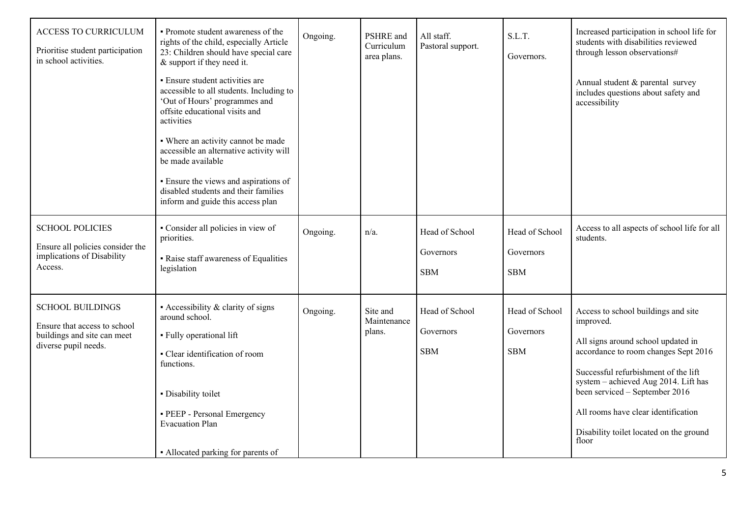| ACCESS TO CURRICULUM<br>Prioritise student participation<br>in school activities.                              | • Promote student awareness of the<br>rights of the child, especially Article<br>23: Children should have special care<br>& support if they need it.<br>• Ensure student activities are<br>accessible to all students. Including to<br>'Out of Hours' programmes and<br>offsite educational visits and<br>activities<br>• Where an activity cannot be made<br>accessible an alternative activity will<br>be made available<br>· Ensure the views and aspirations of<br>disabled students and their families<br>inform and guide this access plan | Ongoing. | PSHRE and<br>Curriculum<br>area plans. | All staff.<br>Pastoral support.           | S.L.T.<br>Governors.                      | Increased participation in school life for<br>students with disabilities reviewed<br>through lesson observations#<br>Annual student & parental survey<br>includes questions about safety and<br>accessibility                                                                                                                               |
|----------------------------------------------------------------------------------------------------------------|--------------------------------------------------------------------------------------------------------------------------------------------------------------------------------------------------------------------------------------------------------------------------------------------------------------------------------------------------------------------------------------------------------------------------------------------------------------------------------------------------------------------------------------------------|----------|----------------------------------------|-------------------------------------------|-------------------------------------------|---------------------------------------------------------------------------------------------------------------------------------------------------------------------------------------------------------------------------------------------------------------------------------------------------------------------------------------------|
| <b>SCHOOL POLICIES</b><br>Ensure all policies consider the<br>implications of Disability<br>Access.            | • Consider all policies in view of<br>priorities.<br>• Raise staff awareness of Equalities<br>legislation                                                                                                                                                                                                                                                                                                                                                                                                                                        | Ongoing. | $n/a$ .                                | Head of School<br>Governors<br><b>SBM</b> | Head of School<br>Governors<br><b>SBM</b> | Access to all aspects of school life for all<br>students.                                                                                                                                                                                                                                                                                   |
| <b>SCHOOL BUILDINGS</b><br>Ensure that access to school<br>buildings and site can meet<br>diverse pupil needs. | • Accessibility & clarity of signs<br>around school.<br>· Fully operational lift<br>• Clear identification of room<br>functions.<br>· Disability toilet<br>· PEEP - Personal Emergency<br><b>Evacuation Plan</b><br>• Allocated parking for parents of                                                                                                                                                                                                                                                                                           | Ongoing. | Site and<br>Maintenance<br>plans.      | Head of School<br>Governors<br><b>SBM</b> | Head of School<br>Governors<br><b>SBM</b> | Access to school buildings and site<br>improved.<br>All signs around school updated in<br>accordance to room changes Sept 2016<br>Successful refurbishment of the lift<br>system - achieved Aug 2014. Lift has<br>been serviced - September 2016<br>All rooms have clear identification<br>Disability toilet located on the ground<br>floor |